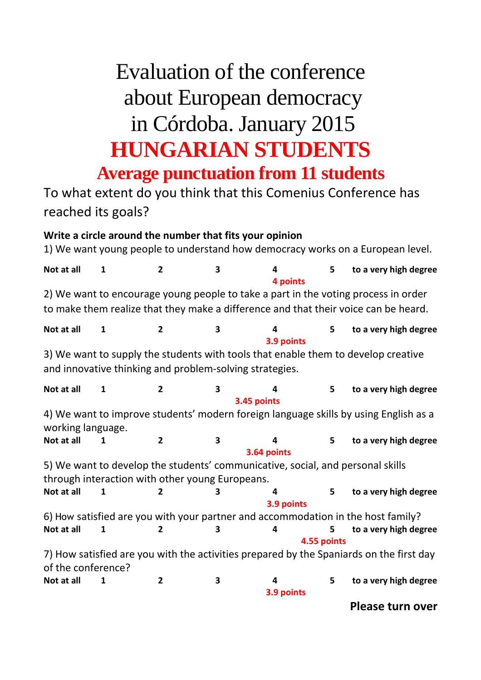## Evaluation of the conference about European democracy in Córdoba. January 2015 **HUNGARIAN STUDENTS Average punctuation from 11 students**

To what extent do you think that this Comenius Conference has reached its goals?

## **Write a circle around the number that fits your opinion**

1) We want young people to understand how democracy works on a European level.

| Not at all                                                                                                                                                                | 1 | $\overline{2}$ | 3                | 4<br>4 points    | 5 | to a very high degree |
|---------------------------------------------------------------------------------------------------------------------------------------------------------------------------|---|----------------|------------------|------------------|---|-----------------------|
| 2) We want to encourage young people to take a part in the voting process in order<br>to make them realize that they make a difference and that their voice can be heard. |   |                |                  |                  |   |                       |
| Not at all                                                                                                                                                                | 1 | $\overline{2}$ | 3                | 4<br>3.9 points  | 5 | to a very high degree |
| 3) We want to supply the students with tools that enable them to develop creative<br>and innovative thinking and problem-solving strategies.                              |   |                |                  |                  |   |                       |
| Not at all                                                                                                                                                                | 1 | $\mathbf{2}$   | 3<br>3.45 points |                  | 5 | to a very high degree |
| 4) We want to improve students' modern foreign language skills by using English as a<br>working language.                                                                 |   |                |                  |                  |   |                       |
| Not at all                                                                                                                                                                | 1 | $\overline{2}$ | 3<br>3.64 points | 4                | 5 | to a very high degree |
| 5) We want to develop the students' communicative, social, and personal skills<br>through interaction with other young Europeans.                                         |   |                |                  |                  |   |                       |
| Not at all                                                                                                                                                                | 1 | 2              |                  |                  | 5 | to a very high degree |
|                                                                                                                                                                           |   |                |                  | 3.9 points       |   |                       |
| 6) How satisfied are you with your partner and accommodation in the host family?                                                                                          |   |                |                  |                  |   |                       |
| Not at all                                                                                                                                                                | 1 | 2              | 3                | 4<br>4.55 points | 5 | to a very high degree |
| 7) How satisfied are you with the activities prepared by the Spaniards on the first day<br>of the conference?                                                             |   |                |                  |                  |   |                       |
| Not at all                                                                                                                                                                | 1 | 2              | 3                | 4<br>3.9 points  | 5 | to a very high degree |
|                                                                                                                                                                           |   |                |                  |                  |   | Please turn over      |